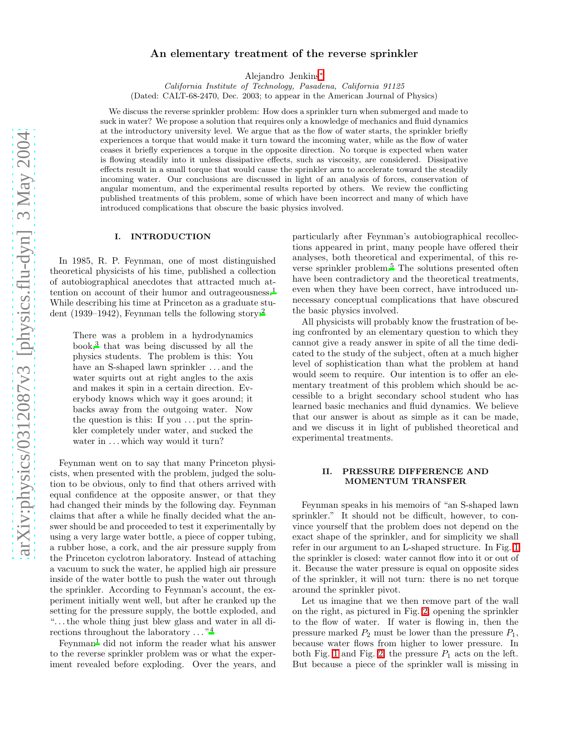# An elementary treatment of the reverse sprinkler

Alejandro Jenkins[∗](#page-6-0)

*California Institute of Technology, Pasadena, California 91125* (Dated: CALT-68-2470, Dec. 2003; to appear in the American Journal of Physics)

We discuss the reverse sprinkler problem: How does a sprinkler turn when submerged and made to suck in water? We propose a solution that requires only a knowledge of mechanics and fluid dynamics at the introductory university level. We argue that as the flow of water starts, the sprinkler briefly experiences a torque that would make it turn toward the incoming water, while as the flow of water ceases it briefly experiences a torque in the opposite direction. No torque is expected when water is flowing steadily into it unless dissipative effects, such as viscosity, are considered. Dissipative effects result in a small torque that would cause the sprinkler arm to accelerate toward the steadily incoming water. Our conclusions are discussed in light of an analysis of forces, conservation of angular momentum, and the experimental results reported by others. We review the conflicting published treatments of this problem, some of which have been incorrect and many of which have introduced complications that obscure the basic physics involved.

#### I. INTRODUCTION

In 1985, R. P. Feynman, one of most distinguished theoretical physicists of his time, published a collection of autobiographical anecdotes that attracted much at-tention on account of their humor and outrageousness.<sup>[1](#page-6-1)</sup> While describing his time at Princeton as a graduate stu-dent (1939–194[2](#page-6-2)), Feynman tells the following story:<sup>2</sup>

There was a problem in a hydrodynamics book[,](#page-6-3)<sup>3</sup> that was being discussed by all the physics students. The problem is this: You have an S-shaped lawn sprinkler ... and the water squirts out at right angles to the axis and makes it spin in a certain direction. Everybody knows which way it goes around; it backs away from the outgoing water. Now the question is this: If you  $\dots$  put the sprinkler completely under water, and sucked the water in ... which way would it turn?

Feynman went on to say that many Princeton physicists, when presented with the problem, judged the solution to be obvious, only to find that others arrived with equal confidence at the opposite answer, or that they had changed their minds by the following day. Feynman claims that after a while he finally decided what the answer should be and proceeded to test it experimentally by using a very large water bottle, a piece of copper tubing, a rubber hose, a cork, and the air pressure supply from the Princeton cyclotron laboratory. Instead of attaching a vacuum to suck the water, he applied high air pressure inside of the water bottle to push the water out through the sprinkler. According to Feynman's account, the experiment initially went well, but after he cranked up the setting for the pressure supply, the bottle exploded, and ". . . the whole thing just blew glass and water in all directions throughout the laboratory . . . "[4](#page-6-4)

 $Feynman<sup>1</sup>$  $Feynman<sup>1</sup>$  $Feynman<sup>1</sup>$  did not inform the reader what his answer to the reverse sprinkler problem was or what the experiment revealed before exploding. Over the years, and particularly after Feynman's autobiographical recollections appeared in print, many people have offered their analyses, both theoretical and experimental, of this re-verse sprinkler problem.<sup>[5](#page-6-5)</sup> The solutions presented often have been contradictory and the theoretical treatments, even when they have been correct, have introduced unnecessary conceptual complications that have obscured the basic physics involved.

All physicists will probably know the frustration of being confronted by an elementary question to which they cannot give a ready answer in spite of all the time dedicated to the study of the subject, often at a much higher level of sophistication than what the problem at hand would seem to require. Our intention is to offer an elementary treatment of this problem which should be accessible to a bright secondary school student who has learned basic mechanics and fluid dynamics. We believe that our answer is about as simple as it can be made, and we discuss it in light of published theoretical and experimental treatments.

### II. PRESSURE DIFFERENCE AND MOMENTUM TRANSFER

Feynman speaks in his memoirs of "an S-shaped lawn sprinkler." It should not be difficult, however, to convince yourself that the problem does not depend on the exact shape of the sprinkler, and for simplicity we shall refer in our argument to an L-shaped structure. In Fig. [1](#page-1-0) the sprinkler is closed: water cannot flow into it or out of it. Because the water pressure is equal on opposite sides of the sprinkler, it will not turn: there is no net torque around the sprinkler pivot.

Let us imagine that we then remove part of the wall on the right, as pictured in Fig. [2,](#page-1-1) opening the sprinkler to the flow of water. If water is flowing in, then the pressure marked  $P_2$  must be lower than the pressure  $P_1$ , because water flows from higher to lower pressure. In both Fig. [1](#page-1-0) and Fig. [2,](#page-1-1) the pressure  $P_1$  acts on the left. But because a piece of the sprinkler wall is missing in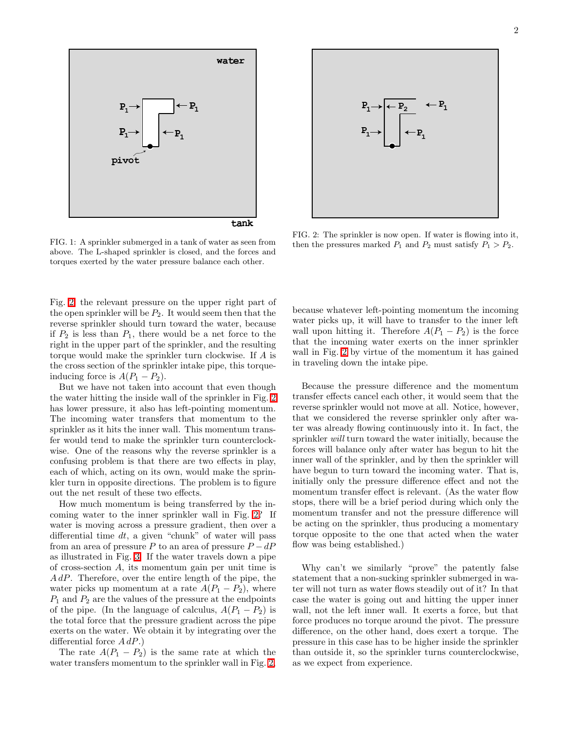

<span id="page-1-0"></span>FIG. 1: A sprinkler submerged in a tank of water as seen from above. The L-shaped sprinkler is closed, and the forces and torques exerted by the water pressure balance each other.

Fig. [2,](#page-1-1) the relevant pressure on the upper right part of the open sprinkler will be  $P_2$ . It would seem then that the reverse sprinkler should turn toward the water, because if  $P_2$  is less than  $P_1$ , there would be a net force to the right in the upper part of the sprinkler, and the resulting torque would make the sprinkler turn clockwise. If A is the cross section of the sprinkler intake pipe, this torqueinducing force is  $A(P_1 - P_2)$ .

But we have not taken into account that even though the water hitting the inside wall of the sprinkler in Fig. [2](#page-1-1) has lower pressure, it also has left-pointing momentum. The incoming water transfers that momentum to the sprinkler as it hits the inner wall. This momentum transfer would tend to make the sprinkler turn counterclockwise. One of the reasons why the reverse sprinkler is a confusing problem is that there are two effects in play, each of which, acting on its own, would make the sprinkler turn in opposite directions. The problem is to figure out the net result of these two effects.

How much momentum is being transferred by the incoming water to the inner sprinkler wall in Fig. [2?](#page-1-1) If water is moving across a pressure gradient, then over a differential time  $dt$ , a given "chunk" of water will pass from an area of pressure P to an area of pressure  $P - dP$ as illustrated in Fig. [3.](#page-2-0) If the water travels down a pipe of cross-section A, its momentum gain per unit time is AdP. Therefore, over the entire length of the pipe, the water picks up momentum at a rate  $A(P_1 - P_2)$ , where  $P_1$  and  $P_2$  are the values of the pressure at the endpoints of the pipe. (In the language of calculus,  $A(P_1 - P_2)$  is the total force that the pressure gradient across the pipe exerts on the water. We obtain it by integrating over the differential force  $A dP$ .)

The rate  $A(P_1 - P_2)$  is the same rate at which the water transfers momentum to the sprinkler wall in Fig. [2,](#page-1-1)



<span id="page-1-1"></span>FIG. 2: The sprinkler is now open. If water is flowing into it, then the pressures marked  $P_1$  and  $P_2$  must satisfy  $P_1 > P_2$ .

because whatever left-pointing momentum the incoming water picks up, it will have to transfer to the inner left wall upon hitting it. Therefore  $A(P_1 - P_2)$  is the force that the incoming water exerts on the inner sprinkler wall in Fig. [2](#page-1-1) by virtue of the momentum it has gained in traveling down the intake pipe.

Because the pressure difference and the momentum transfer effects cancel each other, it would seem that the reverse sprinkler would not move at all. Notice, however, that we considered the reverse sprinkler only after water was already flowing continuously into it. In fact, the sprinkler will turn toward the water initially, because the forces will balance only after water has begun to hit the inner wall of the sprinkler, and by then the sprinkler will have begun to turn toward the incoming water. That is, initially only the pressure difference effect and not the momentum transfer effect is relevant. (As the water flow stops, there will be a brief period during which only the momentum transfer and not the pressure difference will be acting on the sprinkler, thus producing a momentary torque opposite to the one that acted when the water flow was being established.)

Why can't we similarly "prove" the patently false statement that a non-sucking sprinkler submerged in water will not turn as water flows steadily out of it? In that case the water is going out and hitting the upper inner wall, not the left inner wall. It exerts a force, but that force produces no torque around the pivot. The pressure difference, on the other hand, does exert a torque. The pressure in this case has to be higher inside the sprinkler than outside it, so the sprinkler turns counterclockwise, as we expect from experience.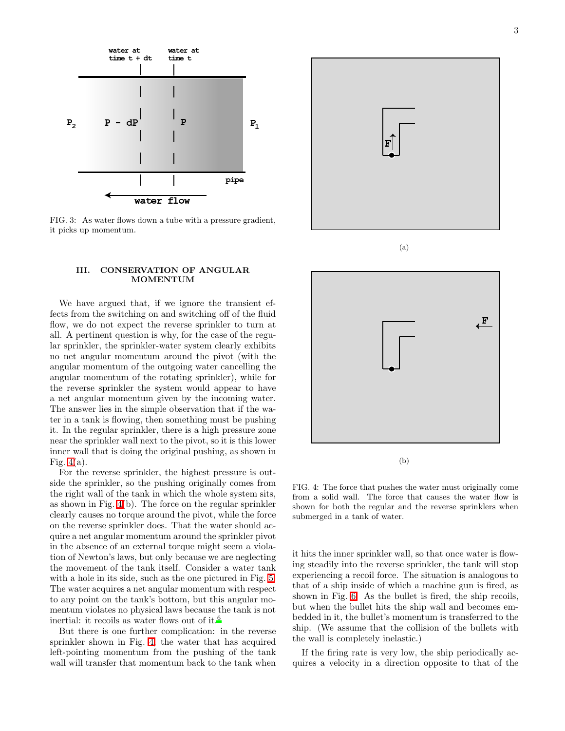

<span id="page-2-0"></span>FIG. 3: As water flows down a tube with a pressure gradient, it picks up momentum.

#### III. CONSERVATION OF ANGULAR MOMENTUM

We have argued that, if we ignore the transient effects from the switching on and switching off of the fluid flow, we do not expect the reverse sprinkler to turn at all. A pertinent question is why, for the case of the regular sprinkler, the sprinkler-water system clearly exhibits no net angular momentum around the pivot (with the angular momentum of the outgoing water cancelling the angular momentum of the rotating sprinkler), while for the reverse sprinkler the system would appear to have a net angular momentum given by the incoming water. The answer lies in the simple observation that if the water in a tank is flowing, then something must be pushing it. In the regular sprinkler, there is a high pressure zone near the sprinkler wall next to the pivot, so it is this lower inner wall that is doing the original pushing, as shown in Fig.  $4(a)$ .

For the reverse sprinkler, the highest pressure is outside the sprinkler, so the pushing originally comes from the right wall of the tank in which the whole system sits, as shown in Fig. [4\(](#page-2-1)b). The force on the regular sprinkler clearly causes no torque around the pivot, while the force on the reverse sprinkler does. That the water should acquire a net angular momentum around the sprinkler pivot in the absence of an external torque might seem a violation of Newton's laws, but only because we are neglecting the movement of the tank itself. Consider a water tank with a hole in its side, such as the one pictured in Fig. [5.](#page-3-0) The water acquires a net angular momentum with respect to any point on the tank's bottom, but this angular momentum violates no physical laws because the tank is not inertial: it recoils as water flows out of it.<sup>[6](#page-6-6)</sup>

But there is one further complication: in the reverse sprinkler shown in Fig. [4,](#page-2-1) the water that has acquired left-pointing momentum from the pushing of the tank wall will transfer that momentum back to the tank when



(a)



<span id="page-2-1"></span>FIG. 4: The force that pushes the water must originally come from a solid wall. The force that causes the water flow is shown for both the regular and the reverse sprinklers when submerged in a tank of water.

it hits the inner sprinkler wall, so that once water is flowing steadily into the reverse sprinkler, the tank will stop experiencing a recoil force. The situation is analogous to that of a ship inside of which a machine gun is fired, as shown in Fig. [6.](#page-3-1) As the bullet is fired, the ship recoils, but when the bullet hits the ship wall and becomes embedded in it, the bullet's momentum is transferred to the ship. (We assume that the collision of the bullets with the wall is completely inelastic.)

If the firing rate is very low, the ship periodically acquires a velocity in a direction opposite to that of the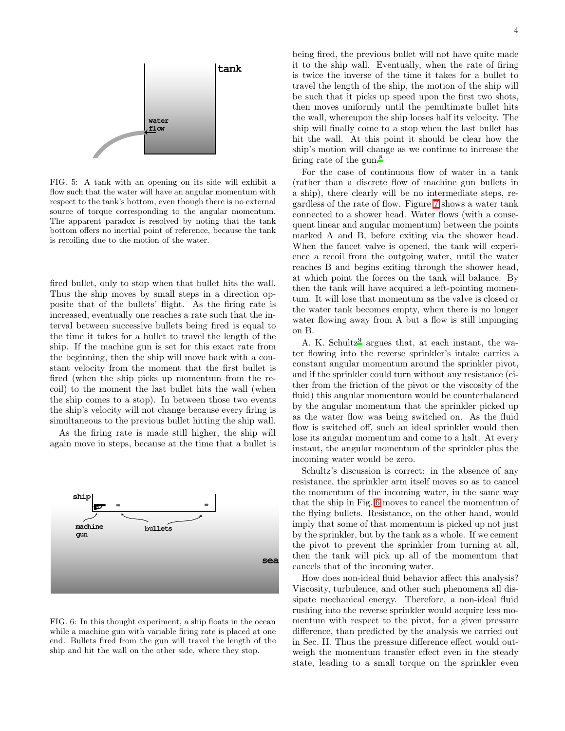

<span id="page-3-0"></span>FIG. 5: A tank with an opening on its side will exhibit a flow such that the water will have an angular momentum with respect to the tank's bottom, even though there is no external source of torque corresponding to the angular momentum. The apparent paradox is resolved by noting that the tank bottom offers no inertial point of reference, because the tank is recoiling due to the motion of the water.

fired bullet, only to stop when that bullet hits the wall. Thus the ship moves by small steps in a direction opposite that of the bullets' flight. As the firing rate is increased, eventually one reaches a rate such that the interval between successive bullets being fired is equal to the time it takes for a bullet to travel the length of the ship. If the machine gun is set for this exact rate from the beginning, then the ship will move back with a constant velocity from the moment that the first bullet is fired (when the ship picks up momentum from the recoil) to the moment the last bullet hits the wall (when the ship comes to a stop). In between those two events the ship's velocity will not change because every firing is simultaneous to the previous bullet hitting the ship wall.

As the firing rate is made still higher, the ship will again move in steps, because at the time that a bullet is



<span id="page-3-1"></span>FIG. 6: In this thought experiment, a ship floats in the ocean while a machine gun with variable firing rate is placed at one end. Bullets fired from the gun will travel the length of the ship and hit the wall on the other side, where they stop.

being fired, the previous bullet will not have quite made it to the ship wall. Eventually, when the rate of firing is twice the inverse of the time it takes for a bullet to travel the length of the ship, the motion of the ship will be such that it picks up speed upon the first two shots, then moves uniformly until the penultimate bullet hits the wall, whereupon the ship looses half its velocity. The ship will finally come to a stop when the last bullet has hit the wall. At this point it should be clear how the ship's motion will change as we continue to increase the firing rate of the gun.<sup>[8](#page-6-7)</sup>

For the case of continuous flow of water in a tank (rather than a discrete flow of machine gun bullets in a ship), there clearly will be no intermediate steps, regardless of the rate of flow. Figure [7](#page-4-0) shows a water tank connected to a shower head. Water flows (with a consequent linear and angular momentum) between the points marked A and B, before exiting via the shower head. When the faucet valve is opened, the tank will experience a recoil from the outgoing water, until the water reaches B and begins exiting through the shower head, at which point the forces on the tank will balance. By then the tank will have acquired a left-pointing momentum. It will lose that momentum as the valve is closed or the water tank becomes empty, when there is no longer water flowing away from A but a flow is still impinging on B.

A. K. Schultz<sup>[9](#page-6-8)</sup> argues that, at each instant, the water flowing into the reverse sprinkler's intake carries a constant angular momentum around the sprinkler pivot, and if the sprinkler could turn without any resistance (either from the friction of the pivot or the viscosity of the fluid) this angular momentum would be counterbalanced by the angular momentum that the sprinkler picked up as the water flow was being switched on. As the fluid flow is switched off, such an ideal sprinkler would then lose its angular momentum and come to a halt. At every instant, the angular momentum of the sprinkler plus the incoming water would be zero.

Schultz's discussion is correct: in the absence of any resistance, the sprinkler arm itself moves so as to cancel the momentum of the incoming water, in the same way that the ship in Fig. [6](#page-3-1) moves to cancel the momentum of the flying bullets. Resistance, on the other hand, would imply that some of that momentum is picked up not just by the sprinkler, but by the tank as a whole. If we cement the pivot to prevent the sprinkler from turning at all, then the tank will pick up all of the momentum that cancels that of the incoming water.

How does non-ideal fluid behavior affect this analysis? Viscosity, turbulence, and other such phenomena all dissipate mechanical energy. Therefore, a non-ideal fluid rushing into the reverse sprinkler would acquire less momentum with respect to the pivot, for a given pressure difference, than predicted by the analysis we carried out in Sec. II. Thus the pressure difference effect would outweigh the momentum transfer effect even in the steady state, leading to a small torque on the sprinkler even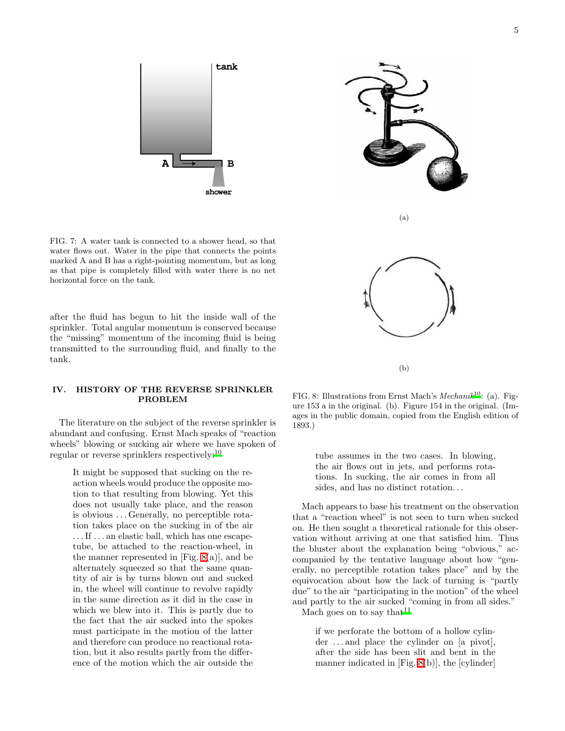5



<span id="page-4-0"></span>FIG. 7: A water tank is connected to a shower head, so that water flows out. Water in the pipe that connects the points marked A and B has a right-pointing momentum, but as long as that pipe is completely filled with water there is no net horizontal force on the tank.

after the fluid has begun to hit the inside wall of the sprinkler. Total angular momentum is conserved because the "missing" momentum of the incoming fluid is being transmitted to the surrounding fluid, and finally to the tank.

## IV. HISTORY OF THE REVERSE SPRINKLER PROBLEM

The literature on the subject of the reverse sprinkler is abundant and confusing. Ernst Mach speaks of "reaction wheels" blowing or sucking air where we have spoken of regular or reverse sprinklers respectively:[10](#page-6-9)

It might be supposed that sucking on the reaction wheels would produce the opposite motion to that resulting from blowing. Yet this does not usually take place, and the reason is obvious . . . Generally, no perceptible rotation takes place on the sucking in of the air ... If ... an elastic ball, which has one escapetube, be attached to the reaction-wheel, in the manner represented in  $[Fig. 8(a)],$  $[Fig. 8(a)],$  $[Fig. 8(a)],$  and be alternately squeezed so that the same quantity of air is by turns blown out and sucked in, the wheel will continue to revolve rapidly in the same direction as it did in the case in which we blew into it. This is partly due to the fact that the air sucked into the spokes must participate in the motion of the latter and therefore can produce no reactional rotation, but it also results partly from the difference of the motion which the air outside the



<span id="page-4-1"></span>FIG. 8: Illustrations from Ernst Mach's *Mechani[k](#page-6-9)*<sup>10</sup>: (a). Figure 153 a in the original. (b). Figure 154 in the original. (Images in the public domain, copied from the English edition of 1893.)

tube assumes in the two cases. In blowing, the air flows out in jets, and performs rotations. In sucking, the air comes in from all sides, and has no distinct rotation. . .

Mach appears to base his treatment on the observation that a "reaction wheel" is not seen to turn when sucked on. He then sought a theoretical rationale for this observation without arriving at one that satisfied him. Thus the bluster about the explanation being "obvious," accompanied by the tentative language about how "generally, no perceptible rotation takes place" and by the equivocation about how the lack of turning is "partly due" to the air "participating in the motion" of the wheel and partly to the air sucked "coming in from all sides." Mach goes on to say that  $11$ 

> if we perforate the bottom of a hollow cylinder ... and place the cylinder on [a pivot], after the side has been slit and bent in the manner indicated in [Fig. [8\(](#page-4-1)b)], the [cylinder]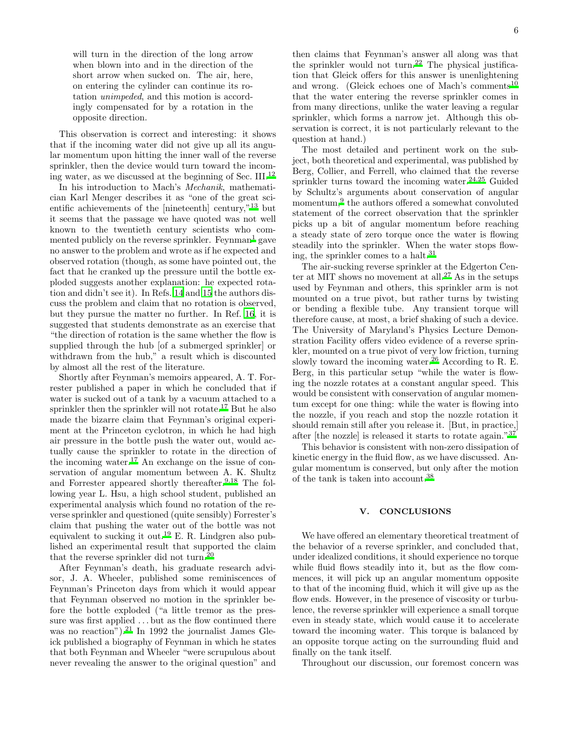will turn in the direction of the long arrow when blown into and in the direction of the short arrow when sucked on. The air, here, on entering the cylinder can continue its rotation unimpeded, and this motion is accordingly compensated for by a rotation in the opposite direction.

This observation is correct and interesting: it shows that if the incoming water did not give up all its angular momentum upon hitting the inner wall of the reverse sprinkler, then the device would turn toward the incoming water, as we discussed at the beginning of Sec. III.[12](#page-6-11)

In his introduction to Mach's Mechanik, mathematician Karl Menger describes it as "one of the great scientific achievements of the [nineteenth] century,"[13](#page-6-12) but it seems that the passage we have quoted was not well known to the twentieth century scientists who com-mented publicly on the reverse sprinkler. Feynman<sup>[1](#page-6-1)</sup> gave no answer to the problem and wrote as if he expected and observed rotation (though, as some have pointed out, the fact that he cranked up the pressure until the bottle exploded suggests another explanation: he expected rotation and didn't see it). In Refs. [14](#page-6-13) and [15](#page-6-14) the authors discuss the problem and claim that no rotation is observed, but they pursue the matter no further. In Ref. [16,](#page-6-15) it is suggested that students demonstrate as an exercise that "the direction of rotation is the same whether the flow is supplied through the hub [of a submerged sprinkler] or withdrawn from the hub," a result which is discounted by almost all the rest of the literature.

Shortly after Feynman's memoirs appeared, A. T. Forrester published a paper in which he concluded that if water is sucked out of a tank by a vacuum attached to a sprinkler then the sprinkler will not rotate.<sup>[17](#page-6-16)</sup> But he also made the bizarre claim that Feynman's original experiment at the Princeton cyclotron, in which he had high air pressure in the bottle push the water out, would actually cause the sprinkler to rotate in the direction of the incoming water.<sup>[17](#page-6-16)</sup> An exchange on the issue of conservation of angular momentum between A. K. Shultz and Forrester appeared shortly thereafter.  $9,18$  $9,18$  The following year L. Hsu, a high school student, published an experimental analysis which found no rotation of the reverse sprinkler and questioned (quite sensibly) Forrester's claim that pushing the water out of the bottle was not equivalent to sucking it out.[19](#page-6-18) E. R. Lindgren also published an experimental result that supported the claim that the reverse sprinkler did not turn.[20](#page-7-0)

After Feynman's death, his graduate research advisor, J. A. Wheeler, published some reminiscences of Feynman's Princeton days from which it would appear that Feynman observed no motion in the sprinkler before the bottle exploded ("a little tremor as the pressure was first applied  $\dots$  but as the flow continued there was no reaction")[.](#page-7-1)<sup>21</sup> In 1992 the journalist James Gleick published a biography of Feynman in which he states that both Feynman and Wheeler "were scrupulous about never revealing the answer to the original question" and

then claims that Feynman's answer all along was that the sprinkler would not turn.<sup>[22](#page-7-2)</sup> The physical justification that Gleick offers for this answer is unenlightening and wrong. (Gleick echoes one of Mach's comments<sup>[10](#page-6-9)</sup> that the water entering the reverse sprinkler comes in from many directions, unlike the water leaving a regular sprinkler, which forms a narrow jet. Although this observation is correct, it is not particularly relevant to the question at hand.)

The most detailed and pertinent work on the subject, both theoretical and experimental, was published by Berg, Collier, and Ferrell, who claimed that the reverse sprinkler turns toward the incoming water.[24](#page-7-3)[,25](#page-7-4) Guided by Schultz's arguments about conservation of angular momentum,<sup>[9](#page-6-8)</sup> the authors offered a somewhat convoluted statement of the correct observation that the sprinkler picks up a bit of angular momentum before reaching a steady state of zero torque once the water is flowing steadily into the sprinkler. When the water stops flowing, the sprinkler comes to a halt. $31$ 

The air-sucking reverse sprinkler at the Edgerton Cen-ter at MIT shows no movement at all.<sup>[27](#page-7-6)</sup> As in the setups used by Feynman and others, this sprinkler arm is not mounted on a true pivot, but rather turns by twisting or bending a flexible tube. Any transient torque will therefore cause, at most, a brief shaking of such a device. The University of Maryland's Physics Lecture Demonstration Facility offers video evidence of a reverse sprinkler, mounted on a true pivot of very low friction, turning slowly toward the incoming water.<sup>[26](#page-7-7)</sup> According to R. E. Berg, in this particular setup "while the water is flowing the nozzle rotates at a constant angular speed. This would be consistent with conservation of angular momentum except for one thing: while the water is flowing into the nozzle, if you reach and stop the nozzle rotation it should remain still after you release it. [But, in practice,] after [the nozzle] is released it starts to rotate again."[37](#page-7-8)

This behavior is consistent with non-zero dissipation of kinetic energy in the fluid flow, as we have discussed. Angular momentum is conserved, but only after the motion of the tank is taken into account.[38](#page-7-9)

#### V. CONCLUSIONS

We have offered an elementary theoretical treatment of the behavior of a reverse sprinkler, and concluded that, under idealized conditions, it should experience no torque while fluid flows steadily into it, but as the flow commences, it will pick up an angular momentum opposite to that of the incoming fluid, which it will give up as the flow ends. However, in the presence of viscosity or turbulence, the reverse sprinkler will experience a small torque even in steady state, which would cause it to accelerate toward the incoming water. This torque is balanced by an opposite torque acting on the surrounding fluid and finally on the tank itself.

Throughout our discussion, our foremost concern was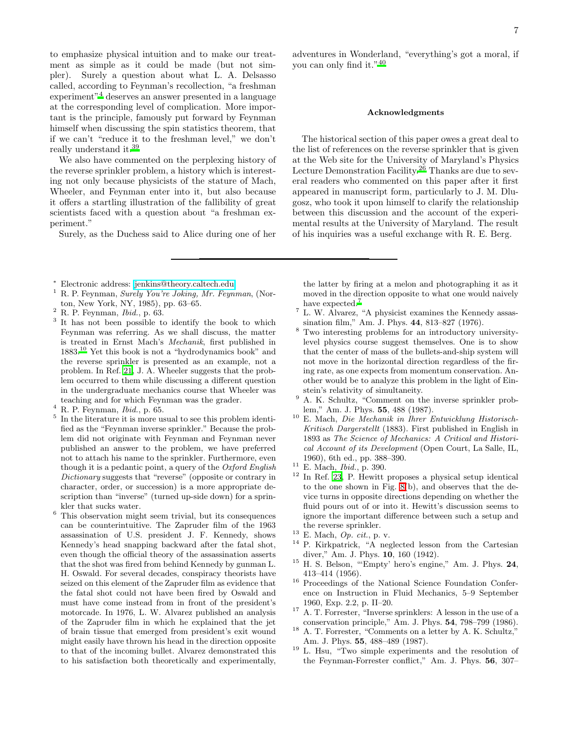to emphasize physical intuition and to make our treatment as simple as it could be made (but not simpler). Surely a question about what L. A. Delsasso called, according to Feynman's recollection, "a freshman experiment"[4](#page-6-4) deserves an answer presented in a language at the corresponding level of complication. More important is the principle, famously put forward by Feynman himself when discussing the spin statistics theorem, that if we can't "reduce it to the freshman level," we don't really understand it[.](#page-7-10)<sup>39</sup>

We also have commented on the perplexing history of the reverse sprinkler problem, a history which is interesting not only because physicists of the stature of Mach, Wheeler, and Feynman enter into it, but also because it offers a startling illustration of the fallibility of great scientists faced with a question about "a freshman experiment."

Surely, as the Duchess said to Alice during one of her

- <sup>∗</sup> Electronic address: [jenkins@theory.caltech.edu](mailto:jenkins@theory.caltech.edu)
- <span id="page-6-1"></span><span id="page-6-0"></span><sup>1</sup> R. P. Feynman, *Surely You're Joking, Mr. Feynman*, (Norton, New York, NY, 1985), pp. 63–65.
- <span id="page-6-2"></span><sup>2</sup> R. P. Feynman, *Ibid.*, p. 63.
- <span id="page-6-3"></span><sup>3</sup> It has not been possible to identify the book to which Feynman was referring. As we shall discuss, the matter is treated in Ernst Mach's *Mechanik*, first published in 1883.[10](#page-6-9) Yet this book is not a "hydrodynamics book" and the reverse sprinkler is presented as an example, not a problem. In Ref. [21](#page-7-1), J. A. Wheeler suggests that the problem occurred to them while discussing a different question in the undergraduate mechanics course that Wheeler was teaching and for which Feynman was the grader.
- <span id="page-6-4"></span><sup>4</sup> R. P. Feynman, *Ibid.*, p. 65.
- <span id="page-6-5"></span>5 In the literature it is more usual to see this problem identified as the "Feynman inverse sprinkler." Because the problem did not originate with Feynman and Feynman never published an answer to the problem, we have preferred not to attach his name to the sprinkler. Furthermore, even though it is a pedantic point, a query of the *Oxford English Dictionary* suggests that "reverse" (opposite or contrary in character, order, or succession) is a more appropriate description than "inverse" (turned up-side down) for a sprinkler that sucks water.
- <span id="page-6-6"></span> $^6\,$  This observation might seem trivial, but its consequences can be counterintuitive. The Zapruder film of the 1963 assassination of U.S. president J. F. Kennedy, shows Kennedy's head snapping backward after the fatal shot, even though the official theory of the assassination asserts that the shot was fired from behind Kennedy by gunman L. H. Oswald. For several decades, conspiracy theorists have seized on this element of the Zapruder film as evidence that the fatal shot could not have been fired by Oswald and must have come instead from in front of the president's motorcade. In 1976, L. W. Alvarez published an analysis of the Zapruder film in which he explained that the jet of brain tissue that emerged from president's exit wound might easily have thrown his head in the direction opposite to that of the incoming bullet. Alvarez demonstrated this to his satisfaction both theoretically and experimentally,

adventures in Wonderland, "everything's got a moral, if you can only find it."[40](#page-7-11)

#### Acknowledgments

The historical section of this paper owes a great deal to the list of references on the reverse sprinkler that is given at the Web site for the University of Maryland's Physics Lecture Demonstration Facility.[26](#page-7-7) Thanks are due to several readers who commented on this paper after it first appeared in manuscript form, particularly to J. M. Dlugosz, who took it upon himself to clarify the relationship between this discussion and the account of the experimental results at the University of Maryland. The result of his inquiries was a useful exchange with R. E. Berg.

the latter by firing at a melon and photographing it as it moved in the direction opposite to what one would naively have expected[.](#page-6-19)<sup>7</sup>

- <span id="page-6-19"></span> $^7$  L. W. Alvarez, "A physicist examines the Kennedy assassination film," Am. J. Phys. 44, 813–827 (1976).
- <span id="page-6-7"></span><sup>8</sup> Two interesting problems for an introductory universitylevel physics course suggest themselves. One is to show that the center of mass of the bullets-and-ship system will not move in the horizontal direction regardless of the firing rate, as one expects from momentum conservation. Another would be to analyze this problem in the light of Einstein's relativity of simultaneity.
- <span id="page-6-8"></span><sup>9</sup> A. K. Schultz, "Comment on the inverse sprinkler problem," Am. J. Phys. 55, 488 (1987).
- <span id="page-6-9"></span><sup>10</sup> E. Mach, *Die Mechanik in Ihrer Entwicklung Historisch-Kritisch Dargerstellt* (1883). First published in English in 1893 as *The Science of Mechanics: A Critical and Historical Account of its Development* (Open Court, La Salle, IL, 1960), 6th ed., pp. 388–390.
- <span id="page-6-10"></span><sup>11</sup> E. Mach, *Ibid.*, p. 390.
- <span id="page-6-11"></span><sup>12</sup> In Ref. [23](#page-7-12), P. Hewitt proposes a physical setup identical to the one shown in Fig. [8\(](#page-4-1)b), and observes that the device turns in opposite directions depending on whether the fluid pours out of or into it. Hewitt's discussion seems to ignore the important difference between such a setup and the reverse sprinkler.
- <span id="page-6-12"></span><sup>13</sup> E. Mach, *Op. cit.*, p. v.
- <span id="page-6-13"></span><sup>14</sup> P. Kirkpatrick, "A neglected lesson from the Cartesian diver," Am. J. Phys. 10, 160 (1942).
- <span id="page-6-14"></span><sup>15</sup> H. S. Belson, "'Empty' hero's engine," Am. J. Phys. 24, 413–414 (1956).
- <span id="page-6-15"></span><sup>16</sup> Proceedings of the National Science Foundation Conference on Instruction in Fluid Mechanics, 5–9 September 1960, Exp. 2.2, p. II–20.
- <span id="page-6-16"></span><sup>17</sup> A. T. Forrester, "Inverse sprinklers: A lesson in the use of a conservation principle," Am. J. Phys. 54, 798–799 (1986).
- <span id="page-6-17"></span> $18$  A. T. Forrester, "Comments on a letter by A. K. Schultz," Am. J. Phys. 55, 488–489 (1987).
- <span id="page-6-18"></span><sup>19</sup> L. Hsu, "Two simple experiments and the resolution of the Feynman-Forrester conflict," Am. J. Phys. 56, 307–